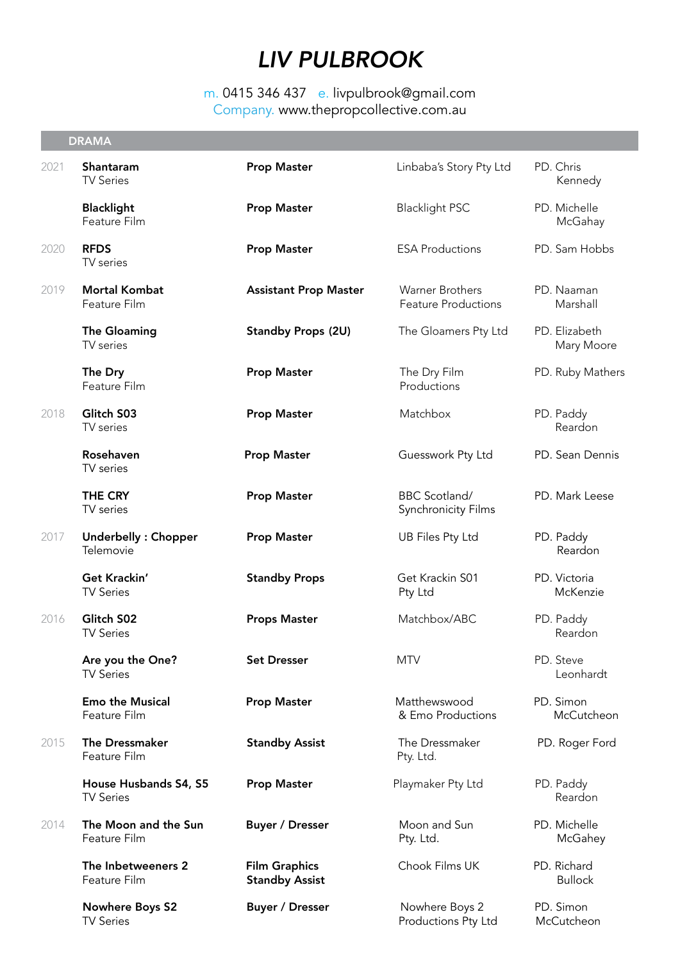# *LIV PULBROOK*

## m. 0415 346 437 e. livpulbrook@gmail.com Company. www.thepropcollective.com.au

|      | <b>DRAMA</b>                               |                                               |                                                    |                               |
|------|--------------------------------------------|-----------------------------------------------|----------------------------------------------------|-------------------------------|
| 2021 | Shantaram<br><b>TV Series</b>              | <b>Prop Master</b>                            | Linbaba's Story Pty Ltd                            | PD. Chris<br>Kennedy          |
|      | <b>Blacklight</b><br>Feature Film          | <b>Prop Master</b>                            | <b>Blacklight PSC</b>                              | PD. Michelle<br>McGahay       |
| 2020 | <b>RFDS</b><br>TV series                   | <b>Prop Master</b>                            | <b>ESA Productions</b>                             | PD. Sam Hobbs                 |
| 2019 | <b>Mortal Kombat</b><br>Feature Film       | <b>Assistant Prop Master</b>                  | Warner Brothers<br><b>Feature Productions</b>      | PD. Naaman<br>Marshall        |
|      | <b>The Gloaming</b><br>TV series           | <b>Standby Props (2U)</b>                     | The Gloamers Pty Ltd                               | PD. Elizabeth<br>Mary Moore   |
|      | The Dry<br>Feature Film                    | <b>Prop Master</b>                            | The Dry Film<br>Productions                        | PD. Ruby Mathers              |
| 2018 | Glitch S03<br>TV series                    | <b>Prop Master</b>                            | Matchbox                                           | PD. Paddy<br>Reardon          |
|      | Rosehaven<br>TV series                     | <b>Prop Master</b>                            | Guesswork Pty Ltd                                  | PD. Sean Dennis               |
|      | <b>THE CRY</b><br>TV series                | <b>Prop Master</b>                            | <b>BBC Scotland/</b><br><b>Synchronicity Films</b> | PD. Mark Leese                |
| 2017 | Underbelly: Chopper<br>Telemovie           | <b>Prop Master</b>                            | <b>UB Files Pty Ltd</b>                            | PD. Paddy<br>Reardon          |
|      | Get Krackin'<br><b>TV Series</b>           | <b>Standby Props</b>                          | Get Krackin S01<br>Pty Ltd                         | PD. Victoria<br>McKenzie      |
| 2016 | Glitch S02<br><b>TV Series</b>             | <b>Props Master</b>                           | Matchbox/ABC                                       | PD. Paddy<br>Reardon          |
|      | Are you the One?<br><b>TV Series</b>       | <b>Set Dresser</b>                            | <b>MTV</b>                                         | PD. Steve<br>Leonhardt        |
|      | <b>Emo the Musical</b><br>Feature Film     | <b>Prop Master</b>                            | Matthewswood<br>& Emo Productions                  | PD. Simon<br>McCutcheon       |
| 2015 | <b>The Dressmaker</b><br>Feature Film      | <b>Standby Assist</b>                         | The Dressmaker<br>Pty. Ltd.                        | PD. Roger Ford                |
|      | House Husbands S4, S5<br><b>TV Series</b>  | <b>Prop Master</b>                            | Playmaker Pty Ltd                                  | PD. Paddy<br>Reardon          |
| 2014 | The Moon and the Sun<br>Feature Film       | <b>Buyer / Dresser</b>                        | Moon and Sun<br>Pty. Ltd.                          | PD. Michelle<br>McGahey       |
|      | The Inbetweeners 2<br>Feature Film         | <b>Film Graphics</b><br><b>Standby Assist</b> | Chook Films UK                                     | PD. Richard<br><b>Bullock</b> |
|      | <b>Nowhere Boys S2</b><br><b>TV Series</b> | <b>Buyer / Dresser</b>                        | Nowhere Boys 2<br>Productions Pty Ltd              | PD. Simon<br>McCutcheon       |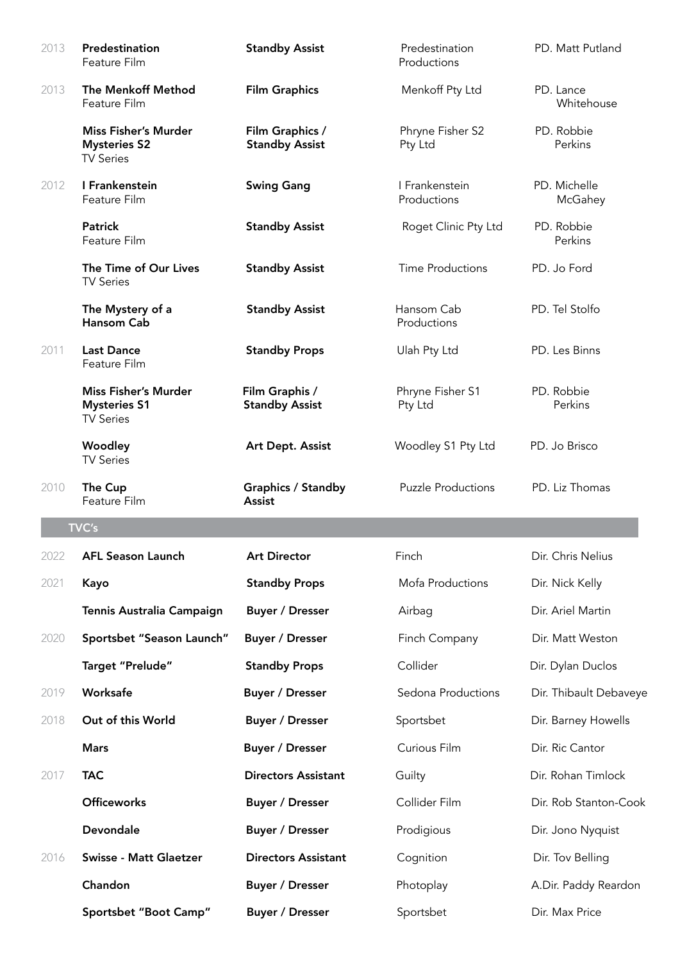| 2013 | Predestination<br>Feature Film                                         | <b>Standby Assist</b>                    | Predestination<br>Productions | PD. Matt Putland        |
|------|------------------------------------------------------------------------|------------------------------------------|-------------------------------|-------------------------|
| 2013 | The Menkoff Method<br>Feature Film                                     | <b>Film Graphics</b>                     | Menkoff Pty Ltd               | PD. Lance<br>Whitehouse |
|      | <b>Miss Fisher's Murder</b><br><b>Mysteries S2</b><br><b>TV Series</b> | Film Graphics /<br><b>Standby Assist</b> | Phryne Fisher S2<br>Pty Ltd   | PD. Robbie<br>Perkins   |
| 2012 | I Frankenstein<br>Feature Film                                         | <b>Swing Gang</b>                        | I Frankenstein<br>Productions | PD. Michelle<br>McGahey |
|      | <b>Patrick</b><br>Feature Film                                         | <b>Standby Assist</b>                    | Roget Clinic Pty Ltd          | PD. Robbie<br>Perkins   |
|      | The Time of Our Lives<br><b>TV Series</b>                              | <b>Standby Assist</b>                    | <b>Time Productions</b>       | PD. Jo Ford             |
|      | The Mystery of a<br>Hansom Cab                                         | <b>Standby Assist</b>                    | Hansom Cab<br>Productions     | PD. Tel Stolfo          |
| 2011 | <b>Last Dance</b><br>Feature Film                                      | <b>Standby Props</b>                     | Ulah Pty Ltd                  | PD. Les Binns           |
|      | <b>Miss Fisher's Murder</b><br><b>Mysteries S1</b><br><b>TV Series</b> | Film Graphis /<br><b>Standby Assist</b>  | Phryne Fisher S1<br>Pty Ltd   | PD. Robbie<br>Perkins   |
|      | Woodley<br><b>TV Series</b>                                            | Art Dept. Assist                         | Woodley S1 Pty Ltd            | PD. Jo Brisco           |
| 2010 | The Cup<br>Feature Film                                                | <b>Graphics / Standby</b><br>Assist      | <b>Puzzle Productions</b>     | PD. Liz Thomas          |
|      | TVC's                                                                  |                                          |                               |                         |
| 2022 | <b>AFL Season Launch</b>                                               | <b>Art Director</b>                      | Finch                         | Dir. Chris Nelius       |
| 2021 | Kayo                                                                   | <b>Standby Props</b>                     | Mofa Productions              | Dir. Nick Kelly         |
|      | Tennis Australia Campaign                                              | <b>Buyer / Dresser</b>                   | Airbag                        | Dir. Ariel Martin       |
| 2020 | Sportsbet "Season Launch"                                              | <b>Buyer / Dresser</b>                   | Finch Company                 | Dir. Matt Weston        |
|      | Target "Prelude"                                                       | <b>Standby Props</b>                     | Collider                      | Dir. Dylan Duclos       |
| 2019 | Worksafe                                                               | <b>Buyer / Dresser</b>                   | Sedona Productions            | Dir. Thibault Debaveye  |
| 2018 | Out of this World                                                      | <b>Buyer / Dresser</b>                   | Sportsbet                     | Dir. Barney Howells     |
|      | <b>Mars</b>                                                            | <b>Buyer / Dresser</b>                   | Curious Film                  | Dir. Ric Cantor         |
| 2017 | <b>TAC</b>                                                             | <b>Directors Assistant</b>               | Guilty                        | Dir. Rohan Timlock      |
|      | <b>Officeworks</b>                                                     | <b>Buyer / Dresser</b>                   | Collider Film                 | Dir. Rob Stanton-Cook   |
|      | Devondale                                                              | <b>Buyer / Dresser</b>                   | Prodigious                    | Dir. Jono Nyquist       |
| 2016 | <b>Swisse - Matt Glaetzer</b>                                          | <b>Directors Assistant</b>               | Cognition                     | Dir. Tov Belling        |
|      | Chandon                                                                | <b>Buyer / Dresser</b>                   | Photoplay                     | A.Dir. Paddy Reardon    |
|      | Sportsbet "Boot Camp"                                                  | <b>Buyer / Dresser</b>                   | Sportsbet                     | Dir. Max Price          |